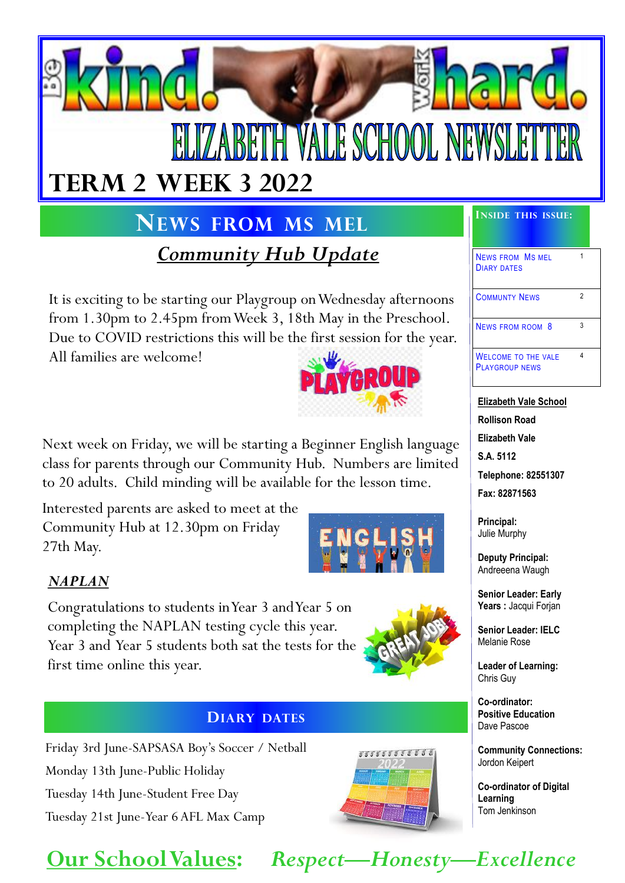

## $\blacksquare$  **INEWS FROM MS MEL IINSIDE THIS** ISSUE:

*Community Hub Update*

It is exciting to be starting our Playgroup on Wednesday afternoons from 1.30pm to 2.45pm from Week 3, 18th May in the Preschool. Due to COVID restrictions this will be the first session for the year.

All families are welcome!



Next week on Friday, we will be starting a Beginner English language class for parents through our Community Hub. Numbers are limited to 20 adults. Child minding will be available for the lesson time.

Interested parents are asked to meet at the Community Hub at 12.30pm on Friday 27th May.



#### *NAPLAN*

Congratulations to students in Year 3 and Year 5 on completing the NAPLAN testing cycle this year. Year 3 and Year 5 students both sat the tests for the first time online this year.



#### **DIARY DATES**

Friday 3rd June-SAPSASA Boy's Soccer / Netball Monday 13th June-Public Holiday Tuesday 14th June-Student Free Day Tuesday 21st June-Year 6 AFL Max Camp

# *5 5 5 5 5 5 5 5 5 5 5 5*

| <b>NEWS FROM MS MEL</b><br><b>DIARY DATES</b>       |   |
|-----------------------------------------------------|---|
| <b>COMMUNTY NEWS</b>                                | 2 |
| NEWS FROM ROOM 8                                    |   |
| <b>WELCOME TO THE VALE</b><br><b>PLAYGROUP NEWS</b> |   |

**Elizabeth Vale School Rollison Road Elizabeth Vale S.A. 5112 Telephone: 82551307**

**Fax: 82871563**

**Principal:** Julie Murphy

**Deputy Principal:** Andreeena Waugh

**Senior Leader: Early Years :** Jacqui Forjan

**Senior Leader: IELC** Melanie Rose

**Leader of Learning:** Chris Guy

**Co-ordinator: Positive Education**  Dave Pascoe

**Community Connections:** Jordon Keipert

**Co-ordinator of Digital Learning** Tom Jenkinson

#### **Our School Values:** *Respect—Honesty—Excellence*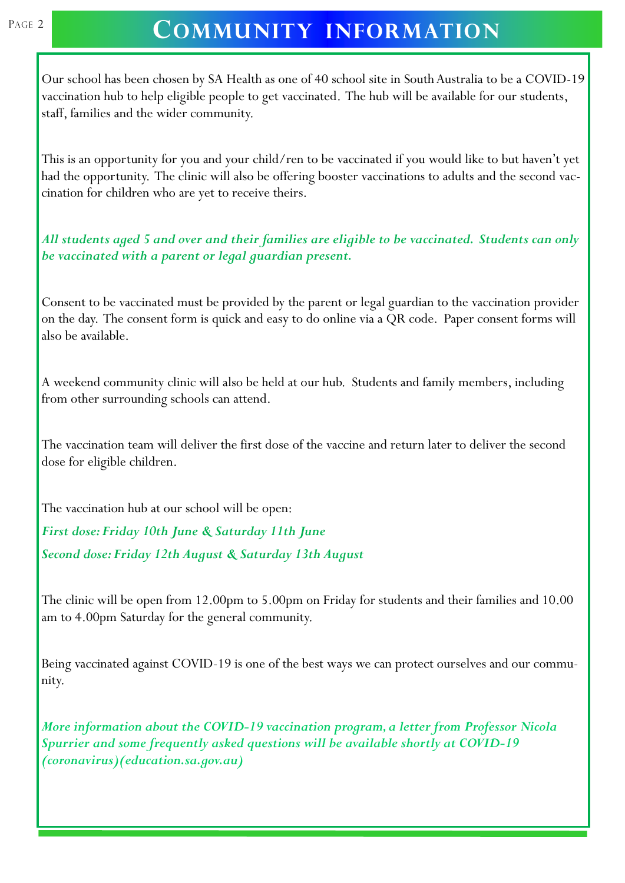#### PAGE 2 COMMUNITY **INFORMATION**

Our school has been chosen by SA Health as one of 40 school site in South Australia to be a COVID-19 vaccination hub to help eligible people to get vaccinated. The hub will be available for our students, staff, families and the wider community.

This is an opportunity for you and your child/ren to be vaccinated if you would like to but haven't yet had the opportunity. The clinic will also be offering booster vaccinations to adults and the second vaccination for children who are yet to receive theirs.

*All students aged 5 and over and their families are eligible to be vaccinated. Students can only be vaccinated with a parent or legal guardian present.*

Consent to be vaccinated must be provided by the parent or legal guardian to the vaccination provider on the day. The consent form is quick and easy to do online via a QR code. Paper consent forms will also be available.

A weekend community clinic will also be held at our hub. Students and family members, including from other surrounding schools can attend.

The vaccination team will deliver the first dose of the vaccine and return later to deliver the second dose for eligible children.

The vaccination hub at our school will be open:

*First dose: Friday 10th June & Saturday 11th June Second dose: Friday 12th August & Saturday 13th August*

The clinic will be open from 12.00pm to 5.00pm on Friday for students and their families and 10.00 am to 4.00pm Saturday for the general community.

Being vaccinated against COVID-19 is one of the best ways we can protect ourselves and our community.

*More information about the COVID-19 vaccination program, a letter from Professor Nicola Spurrier and some frequently asked questions will be available shortly at COVID-19 (coronavirus)(education.sa.gov.au)*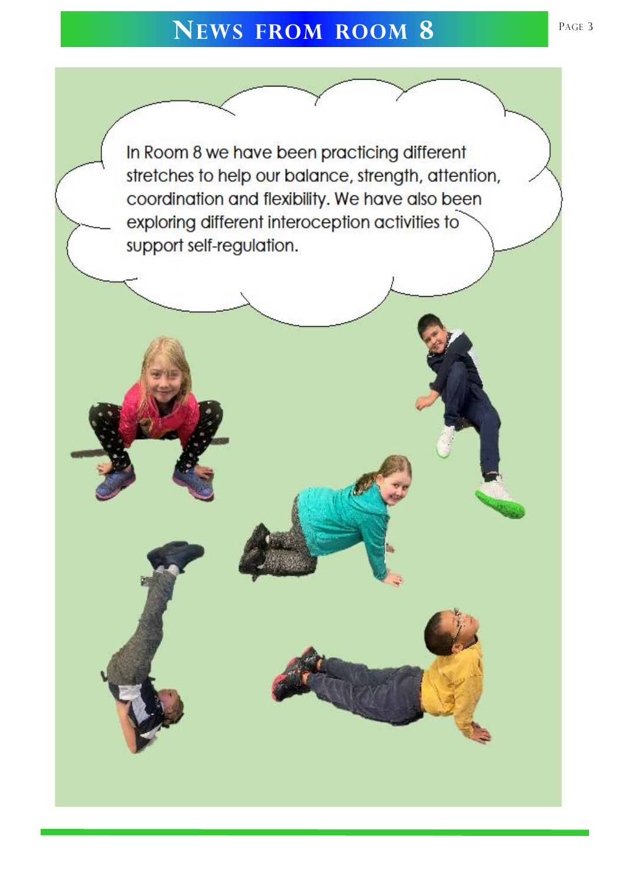#### **N** <sup>3</sup> **EWS FROM ROOM 8**

In Room 8 we have been practicing different stretches to help our balance, strength, attention, coordination and flexibility. We have also been exploring different interoception activities to support self-regulation.